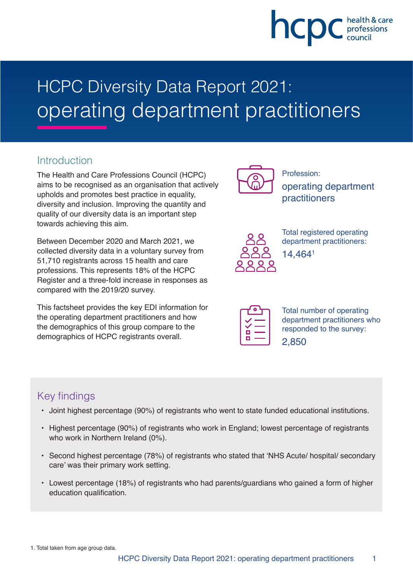# hcpc

# HCPC Diversity Data Report 2021: operating department practitioners

#### **Introduction**

The Health and Care Professions Council (HCPC) aims to be recognised as an organisation that actively upholds and promotes best practice in equality, diversity and inclusion. Improving the quantity and quality of our diversity data is an important step towards achieving this aim.

Between December 2020 and March 2021, we collected diversity data in a voluntary survey from 51,710 registrants across 15 health and care professions. This represents 18% of the HCPC Register and a three-fold increase in responses as compared with the 2019/20 survey.

This factsheet provides the key EDI information for the operating department practitioners and how the demographics of this group compare to the demographics of HCPC registrants overall.



Profession: operating department practitioners



Total registered operating department practitioners: 14,4641

| □ |  |
|---|--|
|   |  |

Total number of operating department practitioners who responded to the survey: 2,850

## Key findings

- Joint highest percentage (90%) of registrants who went to state funded educational institutions.
- Highest percentage (90%) of registrants who work in England; lowest percentage of registrants who work in Northern Ireland (0%).
- Second highest percentage (78%) of registrants who stated that 'NHS Acute/ hospital/ secondary care' was their primary work setting.
- Lowest percentage (18%) of registrants who had parents/guardians who gained a form of higher education qualification.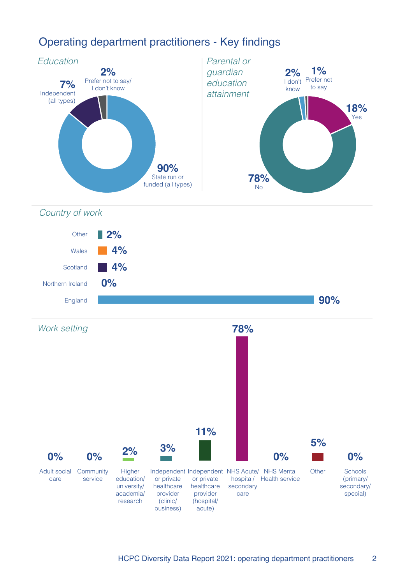

# Operating department practitioners - Key findings

Country of work



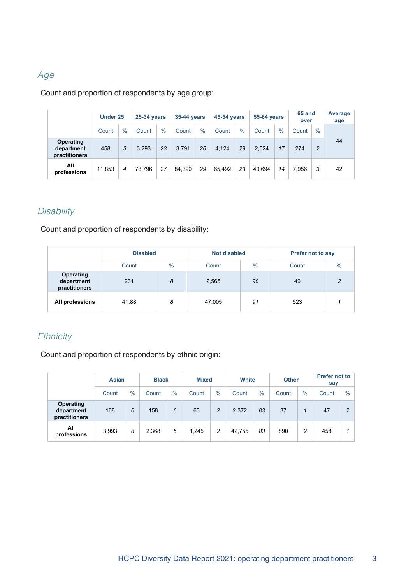#### Age

Count and proportion of respondents by age group:

|                                          | Under 25 |      |        | <b>25-34 years</b> |        | 35-44 years   |        | 45-54 years |        | <b>55-64 years</b> |       | 65 and<br>over | Average<br>age |
|------------------------------------------|----------|------|--------|--------------------|--------|---------------|--------|-------------|--------|--------------------|-------|----------------|----------------|
|                                          | Count    | $\%$ | Count  | $\%$               | Count  | $\frac{0}{0}$ | Count  | $\%$        | Count  | $\%$               | Count | $\frac{0}{0}$  |                |
| Operating<br>department<br>practitioners | 458      | 3    | 3,293  | 23                 | 3.791  | 26            | 4.124  | 29          | 2,524  | 17                 | 274   | 2              | 44             |
| All<br>professions                       | 11.853   | 4    | 78.796 | 27                 | 84.390 | 29            | 65.492 | 23          | 40.694 | 14                 | 7.956 | 3              | 42             |

#### **Disability**

Count and proportion of respondents by disability:

|                                                 | <b>Disabled</b> |               | Not disabled |               | <b>Prefer not to say</b> |               |  |
|-------------------------------------------------|-----------------|---------------|--------------|---------------|--------------------------|---------------|--|
|                                                 | Count           | $\frac{0}{0}$ | Count        | $\frac{9}{6}$ | Count                    | $\frac{0}{0}$ |  |
| <b>Operating</b><br>department<br>practitioners | 231             | 8             | 2,565        | 90            | 49                       | っ             |  |
| All professions                                 | 41,88           | 8             | 47,005       | 91            | 523                      |               |  |

#### **Ethnicity**

Count and proportion of respondents by ethnic origin:

|                                          | <b>Asian</b> |               |       | <b>Black</b> |       | <b>Mixed</b>   |        | <b>White</b> |       | <b>Other</b> | <b>Prefer not to</b><br>say |      |
|------------------------------------------|--------------|---------------|-------|--------------|-------|----------------|--------|--------------|-------|--------------|-----------------------------|------|
|                                          | Count        | $\frac{0}{0}$ | Count | $\%$         | Count | $\%$           | Count  | $\%$         | Count | $\%$         | Count                       | $\%$ |
| Operating<br>department<br>practitioners | 168          | 6             | 158   | 6            | 63    | $\overline{c}$ | 2,372  | 83           | 37    |              | 47                          | ົ    |
| All<br>professions                       | 3,993        | 8             | 2,368 | 5            | 1.245 | 2              | 42,755 | 83           | 890   | 2            | 458                         |      |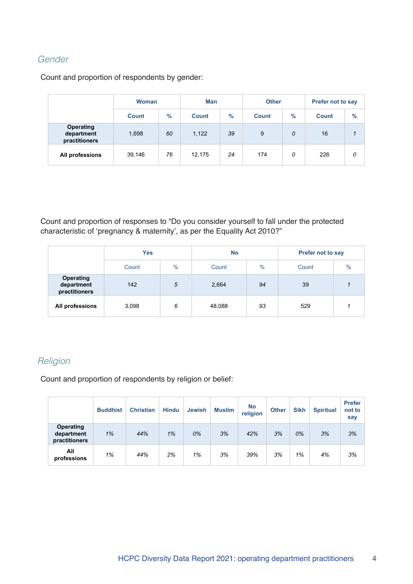#### Gender

Count and proportion of respondents by gender:

|                                          | <b>Woman</b> |      | Man          |      | <b>Other</b> |      | <b>Prefer not to say</b> |      |  |
|------------------------------------------|--------------|------|--------------|------|--------------|------|--------------------------|------|--|
|                                          | <b>Count</b> | $\%$ | <b>Count</b> | $\%$ | <b>Count</b> | $\%$ | <b>Count</b>             | $\%$ |  |
| Operating<br>department<br>practitioners | 1,698        | 60   | 1,122        | 39   | 9            | 0    | 16                       |      |  |
| All professions                          | 39,146       | 76   | 12,175       | 24   | 174          | 0    | 226                      | 0    |  |

Count and proportion of responses to "Do you consider yourself to fall under the protected characteristic of 'pregnancy & maternity', as per the Equality Act 2010?"

|                                                 | <b>Yes</b> |      | <b>No</b> |      | <b>Prefer not to say</b> |               |  |
|-------------------------------------------------|------------|------|-----------|------|--------------------------|---------------|--|
|                                                 | Count      | $\%$ | Count     | $\%$ | Count                    | $\frac{0}{0}$ |  |
| <b>Operating</b><br>department<br>practitioners | 142        | 5    | 2,664     | 94   | 39                       |               |  |
| All professions                                 | 3,098      | 6    | 48,088    | 93   | 529                      |               |  |

#### **Religion**

Count and proportion of respondents by religion or belief:

|                                                 | <b>Buddhist</b> | <b>Christian</b> | <b>Hindu</b> | <b>Jewish</b> | <b>Muslim</b> | <b>No</b><br>religion | <b>Other</b> | <b>Sikh</b> | <b>Spiritual</b> | <b>Prefer</b><br>not to<br>say |
|-------------------------------------------------|-----------------|------------------|--------------|---------------|---------------|-----------------------|--------------|-------------|------------------|--------------------------------|
| <b>Operating</b><br>department<br>practitioners | 1%              | 44%              | 1%           | 0%            | 3%            | 42%                   | 3%           | 0%          | 3%               | 3%                             |
| All<br>professions                              | 1%              | 44%              | 2%           | 1%            | 3%            | 39%                   | 3%           | 1%          | 4%               | 3%                             |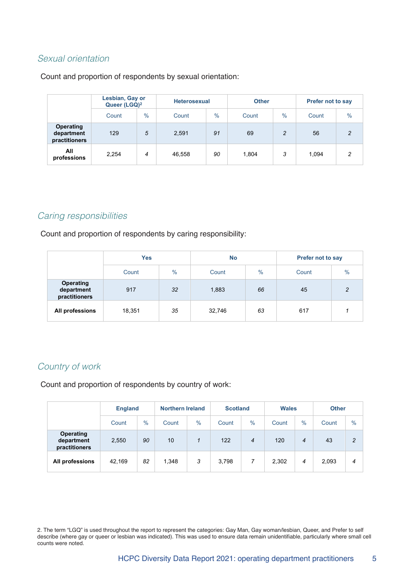#### Sexual orientation

Count and proportion of respondents by sexual orientation:

|                                                 | Lesbian, Gay or<br>Queer (LGQ) <sup>2</sup> |               |        | <b>Heterosexual</b> |       |                | <b>Prefer not to say</b> |               |  |
|-------------------------------------------------|---------------------------------------------|---------------|--------|---------------------|-------|----------------|--------------------------|---------------|--|
|                                                 | Count                                       | $\frac{0}{0}$ | Count  | $\frac{0}{0}$       | Count | $\frac{0}{0}$  | Count                    | $\frac{0}{0}$ |  |
| <b>Operating</b><br>department<br>practitioners | 129                                         | 5             | 2,591  | 91                  | 69    | $\overline{c}$ | 56                       | 2             |  |
| All<br>professions                              | 2,254                                       | 4             | 46,558 | 90                  | 1,804 | 3              | 1,094                    | 2             |  |

#### Caring responsibilities

Count and proportion of respondents by caring responsibility:

|                                                 | <b>Yes</b> |      | <b>No</b> |               | <b>Prefer not to say</b> |               |  |
|-------------------------------------------------|------------|------|-----------|---------------|--------------------------|---------------|--|
|                                                 | Count      | $\%$ | Count     | $\frac{0}{0}$ | Count                    | $\frac{0}{0}$ |  |
| <b>Operating</b><br>department<br>practitioners | 917        | 32   | 1,883     | 66            | 45                       | 2             |  |
| All professions                                 | 18,351     | 35   | 32,746    | 63            | 617                      |               |  |

#### Country of work

Count and proportion of respondents by country of work:

|                                                 |        | <b>England</b> |       | <b>Northern Ireland</b> |       | <b>Scotland</b> |       | <b>Wales</b>  | <b>Other</b> |                |
|-------------------------------------------------|--------|----------------|-------|-------------------------|-------|-----------------|-------|---------------|--------------|----------------|
|                                                 | Count  | $\frac{0}{0}$  | Count | $\%$                    | Count | $\frac{0}{0}$   | Count | $\frac{0}{0}$ | Count        | $\frac{0}{0}$  |
| <b>Operating</b><br>department<br>practitioners | 2,550  | 90             | 10    |                         | 122   | $\overline{4}$  | 120   | 4             | 43           | $\overline{2}$ |
| All professions                                 | 42.169 | 82             | 1,348 | 3                       | 3.798 | 7               | 2,302 | 4             | 2,093        | 4              |

2. The term "LGQ" is used throughout the report to represent the categories: Gay Man, Gay woman/lesbian, Queer, and Prefer to self describe (where gay or queer or lesbian was indicated). This was used to ensure data remain unidentifiable, particularly where small cell counts were noted.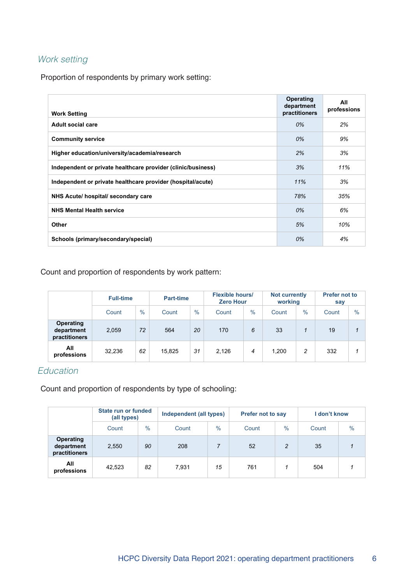### Work setting

Proportion of respondents by primary work setting:

| <b>Work Setting</b>                                          | <b>Operating</b><br>department<br>practitioners | All<br>professions |
|--------------------------------------------------------------|-------------------------------------------------|--------------------|
| Adult social care                                            | 0%                                              | 2%                 |
| <b>Community service</b>                                     | $0\%$                                           | 9%                 |
| Higher education/university/academia/research                | 2%                                              | 3%                 |
| Independent or private healthcare provider (clinic/business) | 3%                                              | 11%                |
| Independent or private healthcare provider (hospital/acute)  | 11%                                             | 3%                 |
| NHS Acute/ hospital/ secondary care                          | 78%                                             | 35%                |
| <b>NHS Mental Health service</b>                             | $0\%$                                           | 6%                 |
| Other                                                        | 5%                                              | 10%                |
| Schools (primary/secondary/special)                          | 0%                                              | 4%                 |

Count and proportion of respondents by work pattern:

|                                                 | <b>Full-time</b> |      | <b>Part-time</b> |               | <b>Flexible hours/</b><br><b>Zero Hour</b> |               | <b>Not currently</b><br>working |               | <b>Prefer not to</b><br>say |               |
|-------------------------------------------------|------------------|------|------------------|---------------|--------------------------------------------|---------------|---------------------------------|---------------|-----------------------------|---------------|
|                                                 | Count            | $\%$ | Count            | $\frac{0}{0}$ | Count                                      | $\frac{0}{0}$ | Count                           | $\frac{0}{0}$ | Count                       | $\frac{0}{0}$ |
| <b>Operating</b><br>department<br>practitioners | 2,059            | 72   | 564              | 20            | 170                                        | 6             | 33                              |               | 19                          |               |
| All<br>professions                              | 32,236           | 62   | 15.825           | 31            | 2,126                                      | 4             | 1.200                           | 2             | 332                         |               |

#### Education

Count and proportion of respondents by type of schooling:

|                                          | State run or funded<br>(all types) |               | <b>Independent (all types)</b> |      | <b>Prefer not to say</b> |      | I don't know |               |
|------------------------------------------|------------------------------------|---------------|--------------------------------|------|--------------------------|------|--------------|---------------|
|                                          | Count                              | $\frac{0}{0}$ | Count                          | $\%$ | Count                    | $\%$ | Count        | $\frac{0}{0}$ |
| Operating<br>department<br>practitioners | 2,550                              | 90            | 208                            |      | 52                       | 2    | 35           |               |
| All<br>professions                       | 42,523                             | 82            | 7,931                          | 15   | 761                      |      | 504          |               |